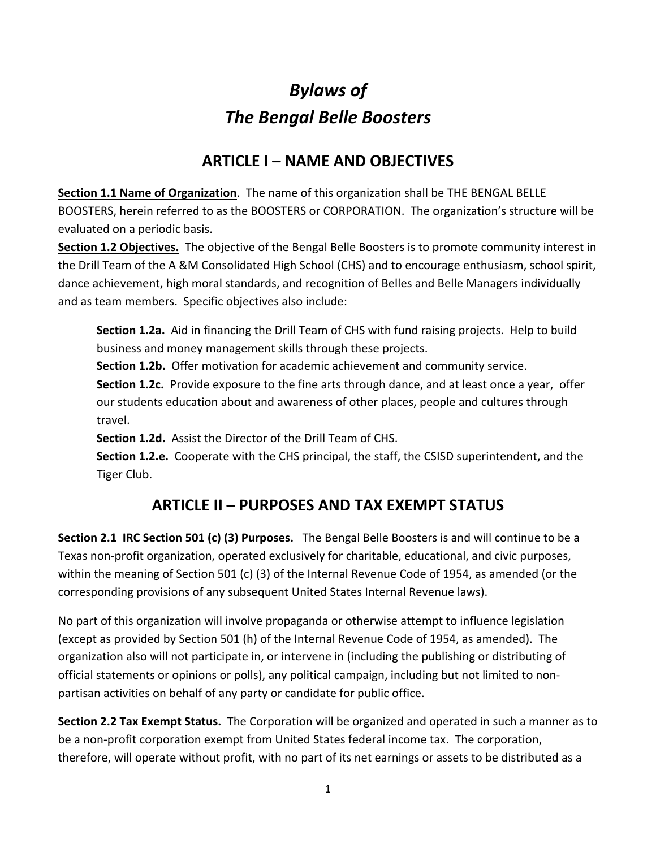# *Bylaws of The Bengal Belle Boosters*

# **ARTICLE I – NAME AND OBJECTIVES**

**Section 1.1 Name of Organization**. The name of this organization shall be THE BENGAL BELLE BOOSTERS, herein referred to as the BOOSTERS or CORPORATION. The organization's structure will be evaluated on a periodic basis.

**Section 1.2 Objectives.** The objective of the Bengal Belle Boosters is to promote community interest in the Drill Team of the A &M Consolidated High School (CHS) and to encourage enthusiasm, school spirit, dance achievement, high moral standards, and recognition of Belles and Belle Managers individually and as team members. Specific objectives also include:

**Section 1.2a.** Aid in financing the Drill Team of CHS with fund raising projects. Help to build business and money management skills through these projects.

**Section 1.2b.** Offer motivation for academic achievement and community service.

**Section 1.2c.** Provide exposure to the fine arts through dance, and at least once a year, offer our students education about and awareness of other places, people and cultures through travel.

**Section 1.2d.** Assist the Director of the Drill Team of CHS.

**Section 1.2.e.** Cooperate with the CHS principal, the staff, the CSISD superintendent, and the Tiger Club.

# **ARTICLE II – PURPOSES AND TAX EXEMPT STATUS**

**Section 2.1 IRC Section 501 (c) (3) Purposes.** The Bengal Belle Boosters is and will continue to be a Texas non-profit organization, operated exclusively for charitable, educational, and civic purposes, within the meaning of Section 501 (c) (3) of the Internal Revenue Code of 1954, as amended (or the corresponding provisions of any subsequent United States Internal Revenue laws).

No part of this organization will involve propaganda or otherwise attempt to influence legislation (except as provided by Section 501 (h) of the Internal Revenue Code of 1954, as amended). The organization also will not participate in, or intervene in (including the publishing or distributing of official statements or opinions or polls), any political campaign, including but not limited to nonpartisan activities on behalf of any party or candidate for public office.

**Section 2.2 Tax Exempt Status.** The Corporation will be organized and operated in such a manner as to be a non-profit corporation exempt from United States federal income tax. The corporation, therefore, will operate without profit, with no part of its net earnings or assets to be distributed as a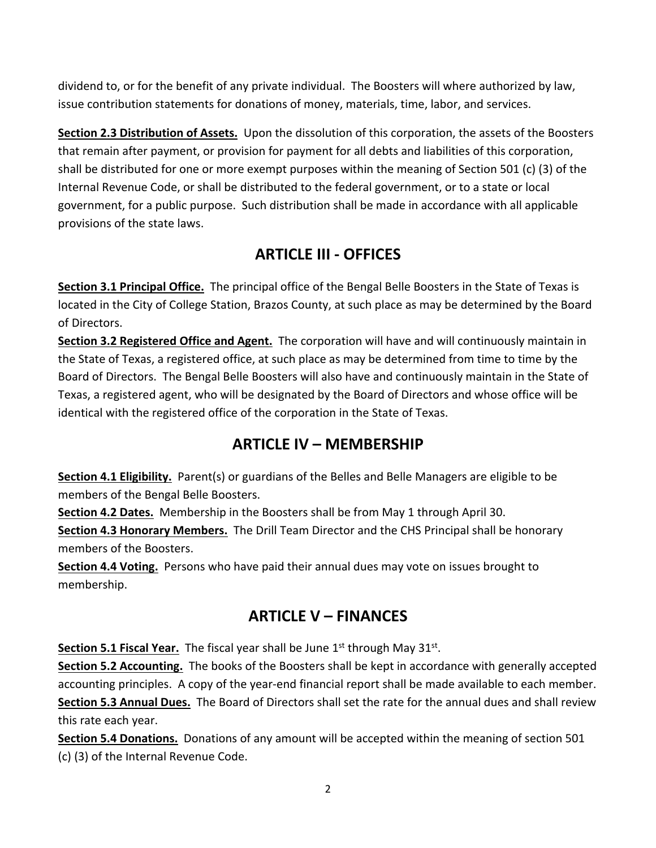dividend to, or for the benefit of any private individual. The Boosters will where authorized by law, issue contribution statements for donations of money, materials, time, labor, and services.

**Section 2.3 Distribution of Assets.** Upon the dissolution of this corporation, the assets of the Boosters that remain after payment, or provision for payment for all debts and liabilities of this corporation, shall be distributed for one or more exempt purposes within the meaning of Section 501 (c) (3) of the Internal Revenue Code, or shall be distributed to the federal government, or to a state or local government, for a public purpose. Such distribution shall be made in accordance with all applicable provisions of the state laws.

# **ARTICLE III - OFFICES**

**Section 3.1 Principal Office.** The principal office of the Bengal Belle Boosters in the State of Texas is located in the City of College Station, Brazos County, at such place as may be determined by the Board of Directors.

**Section 3.2 Registered Office and Agent.** The corporation will have and will continuously maintain in the State of Texas, a registered office, at such place as may be determined from time to time by the Board of Directors. The Bengal Belle Boosters will also have and continuously maintain in the State of Texas, a registered agent, who will be designated by the Board of Directors and whose office will be identical with the registered office of the corporation in the State of Texas.

### **ARTICLE IV – MEMBERSHIP**

**Section 4.1 Eligibility.** Parent(s) or guardians of the Belles and Belle Managers are eligible to be members of the Bengal Belle Boosters.

**Section 4.2 Dates.** Membership in the Boosters shall be from May 1 through April 30.

**Section 4.3 Honorary Members.** The Drill Team Director and the CHS Principal shall be honorary members of the Boosters.

**Section 4.4 Voting.** Persons who have paid their annual dues may vote on issues brought to membership.

# **ARTICLE V – FINANCES**

**Section 5.1 Fiscal Year.** The fiscal year shall be June 1<sup>st</sup> through May 31<sup>st</sup>.

**Section 5.2 Accounting.** The books of the Boosters shall be kept in accordance with generally accepted accounting principles. A copy of the year-end financial report shall be made available to each member. **Section 5.3 Annual Dues.** The Board of Directors shall set the rate for the annual dues and shall review this rate each year.

**Section 5.4 Donations.** Donations of any amount will be accepted within the meaning of section 501 (c) (3) of the Internal Revenue Code.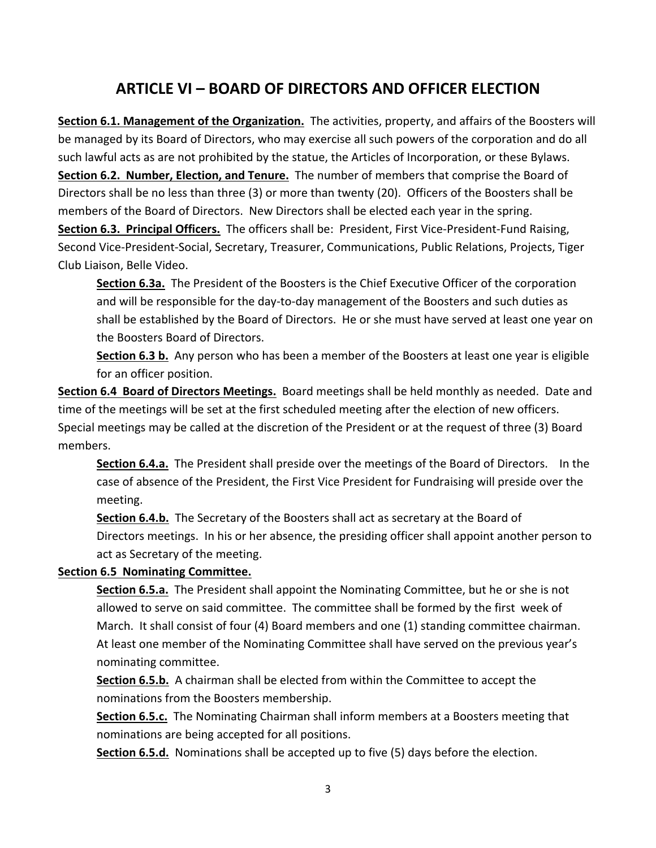#### **ARTICLE VI – BOARD OF DIRECTORS AND OFFICER ELECTION**

**Section 6.1. Management of the Organization.** The activities, property, and affairs of the Boosters will be managed by its Board of Directors, who may exercise all such powers of the corporation and do all such lawful acts as are not prohibited by the statue, the Articles of Incorporation, or these Bylaws. **Section 6.2. Number, Election, and Tenure.** The number of members that comprise the Board of Directors shall be no less than three (3) or more than twenty (20). Officers of the Boosters shall be members of the Board of Directors. New Directors shall be elected each year in the spring. **Section 6.3. Principal Officers.** The officers shall be: President, First Vice-President-Fund Raising, Second Vice-President-Social, Secretary, Treasurer, Communications, Public Relations, Projects, Tiger Club Liaison, Belle Video.

**Section 6.3a.** The President of the Boosters is the Chief Executive Officer of the corporation and will be responsible for the day-to-day management of the Boosters and such duties as shall be established by the Board of Directors. He or she must have served at least one year on the Boosters Board of Directors.

**Section 6.3 b.** Any person who has been a member of the Boosters at least one year is eligible for an officer position.

**Section 6.4 Board of Directors Meetings.** Board meetings shall be held monthly as needed. Date and time of the meetings will be set at the first scheduled meeting after the election of new officers. Special meetings may be called at the discretion of the President or at the request of three (3) Board members.

**Section 6.4.a.** The President shall preside over the meetings of the Board of Directors. In the case of absence of the President, the First Vice President for Fundraising will preside over the meeting.

**Section 6.4.b.** The Secretary of the Boosters shall act as secretary at the Board of Directors meetings. In his or her absence, the presiding officer shall appoint another person to act as Secretary of the meeting.

#### **Section 6.5 Nominating Committee.**

**Section 6.5.a.** The President shall appoint the Nominating Committee, but he or she is not allowed to serve on said committee. The committee shall be formed by the first week of March. It shall consist of four (4) Board members and one (1) standing committee chairman. At least one member of the Nominating Committee shall have served on the previous year's nominating committee.

**Section 6.5.b.** A chairman shall be elected from within the Committee to accept the nominations from the Boosters membership.

**Section 6.5.c.** The Nominating Chairman shall inform members at a Boosters meeting that nominations are being accepted for all positions.

**Section 6.5.d.** Nominations shall be accepted up to five (5) days before the election.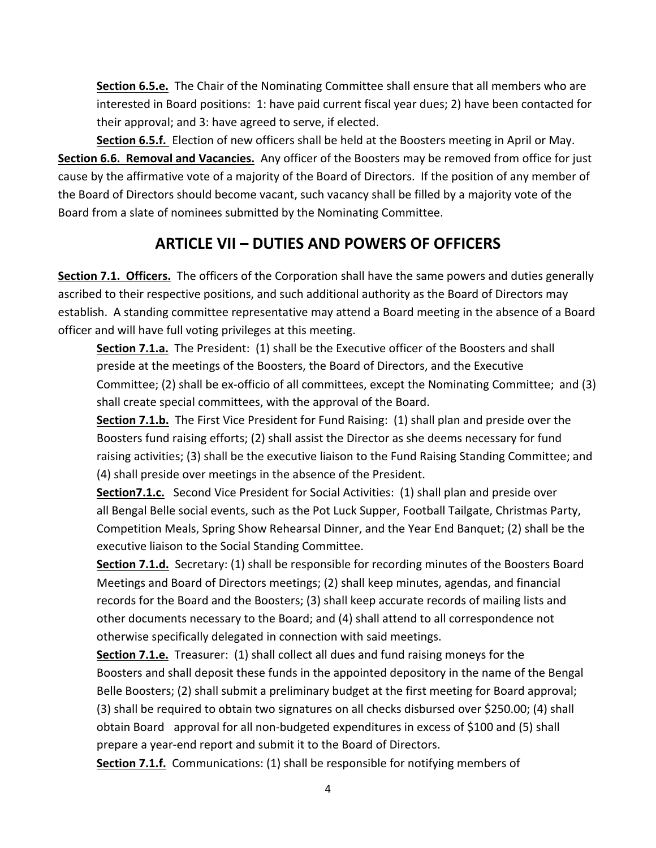**Section 6.5.e.** The Chair of the Nominating Committee shall ensure that all members who are interested in Board positions: 1: have paid current fiscal year dues; 2) have been contacted for their approval; and 3: have agreed to serve, if elected.

**Section 6.5.f.** Election of new officers shall be held at the Boosters meeting in April or May. **Section 6.6. Removal and Vacancies.** Any officer of the Boosters may be removed from office for just cause by the affirmative vote of a majority of the Board of Directors. If the position of any member of the Board of Directors should become vacant, such vacancy shall be filled by a majority vote of the Board from a slate of nominees submitted by the Nominating Committee.

# **ARTICLE VII – DUTIES AND POWERS OF OFFICERS**

**Section 7.1. Officers.** The officers of the Corporation shall have the same powers and duties generally ascribed to their respective positions, and such additional authority as the Board of Directors may establish. A standing committee representative may attend a Board meeting in the absence of a Board officer and will have full voting privileges at this meeting.

**Section 7.1.a.** The President: (1) shall be the Executive officer of the Boosters and shall preside at the meetings of the Boosters, the Board of Directors, and the Executive Committee; (2) shall be ex-officio of all committees, except the Nominating Committee; and (3) shall create special committees, with the approval of the Board.

**Section 7.1.b.** The First Vice President for Fund Raising: (1) shall plan and preside over the Boosters fund raising efforts; (2) shall assist the Director as she deems necessary for fund raising activities; (3) shall be the executive liaison to the Fund Raising Standing Committee; and (4) shall preside over meetings in the absence of the President.

**Section7.1.c.** Second Vice President for Social Activities: (1) shall plan and preside over all Bengal Belle social events, such as the Pot Luck Supper, Football Tailgate, Christmas Party, Competition Meals, Spring Show Rehearsal Dinner, and the Year End Banquet; (2) shall be the executive liaison to the Social Standing Committee.

**Section 7.1.d.** Secretary: (1) shall be responsible for recording minutes of the Boosters Board Meetings and Board of Directors meetings; (2) shall keep minutes, agendas, and financial records for the Board and the Boosters; (3) shall keep accurate records of mailing lists and other documents necessary to the Board; and (4) shall attend to all correspondence not otherwise specifically delegated in connection with said meetings.

**Section 7.1.e.** Treasurer: (1) shall collect all dues and fund raising moneys for the Boosters and shall deposit these funds in the appointed depository in the name of the Bengal Belle Boosters; (2) shall submit a preliminary budget at the first meeting for Board approval; (3) shall be required to obtain two signatures on all checks disbursed over \$250.00; (4) shall obtain Board approval for all non-budgeted expenditures in excess of \$100 and (5) shall prepare a year-end report and submit it to the Board of Directors.

**Section 7.1.f.** Communications: (1) shall be responsible for notifying members of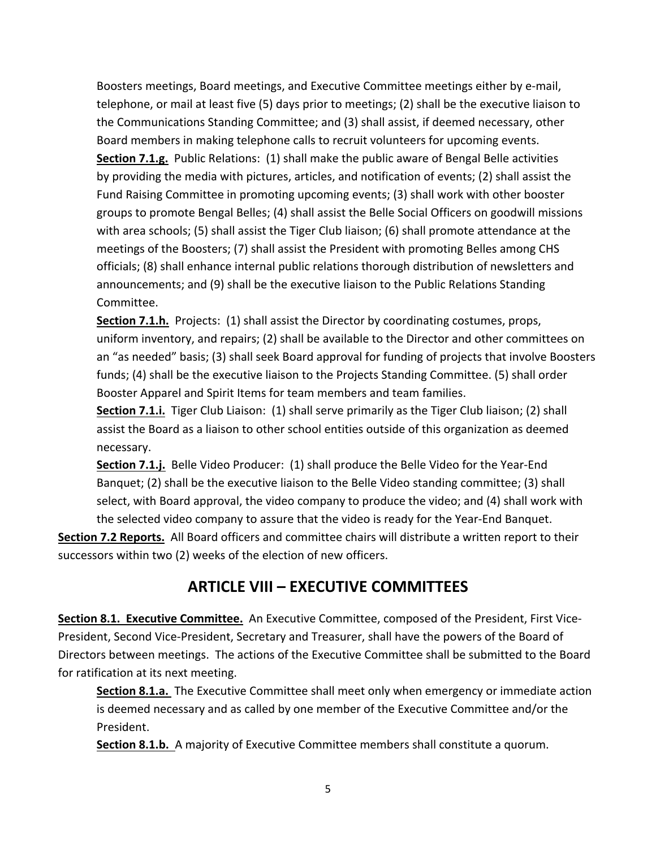Boosters meetings, Board meetings, and Executive Committee meetings either by e-mail, telephone, or mail at least five (5) days prior to meetings; (2) shall be the executive liaison to the Communications Standing Committee; and (3) shall assist, if deemed necessary, other Board members in making telephone calls to recruit volunteers for upcoming events. **Section 7.1.g.** Public Relations: (1) shall make the public aware of Bengal Belle activities by providing the media with pictures, articles, and notification of events; (2) shall assist the Fund Raising Committee in promoting upcoming events; (3) shall work with other booster groups to promote Bengal Belles; (4) shall assist the Belle Social Officers on goodwill missions with area schools; (5) shall assist the Tiger Club liaison; (6) shall promote attendance at the meetings of the Boosters; (7) shall assist the President with promoting Belles among CHS officials; (8) shall enhance internal public relations thorough distribution of newsletters and announcements; and (9) shall be the executive liaison to the Public Relations Standing Committee.

**Section 7.1.h.** Projects: (1) shall assist the Director by coordinating costumes, props, uniform inventory, and repairs; (2) shall be available to the Director and other committees on an "as needed" basis; (3) shall seek Board approval for funding of projects that involve Boosters funds; (4) shall be the executive liaison to the Projects Standing Committee. (5) shall order Booster Apparel and Spirit Items for team members and team families.

**Section 7.1.i.** Tiger Club Liaison: (1) shall serve primarily as the Tiger Club liaison; (2) shall assist the Board as a liaison to other school entities outside of this organization as deemed necessary.

**Section 7.1.j.** Belle Video Producer: (1) shall produce the Belle Video for the Year-End Banquet; (2) shall be the executive liaison to the Belle Video standing committee; (3) shall select, with Board approval, the video company to produce the video; and (4) shall work with the selected video company to assure that the video is ready for the Year-End Banquet.

**Section 7.2 Reports.** All Board officers and committee chairs will distribute a written report to their successors within two (2) weeks of the election of new officers.

### **ARTICLE VIII – EXECUTIVE COMMITTEES**

**Section 8.1. Executive Committee.** An Executive Committee, composed of the President, First Vice-President, Second Vice-President, Secretary and Treasurer, shall have the powers of the Board of Directors between meetings. The actions of the Executive Committee shall be submitted to the Board for ratification at its next meeting.

**Section 8.1.a.** The Executive Committee shall meet only when emergency or immediate action is deemed necessary and as called by one member of the Executive Committee and/or the President.

**Section 8.1.b.** A majority of Executive Committee members shall constitute a quorum.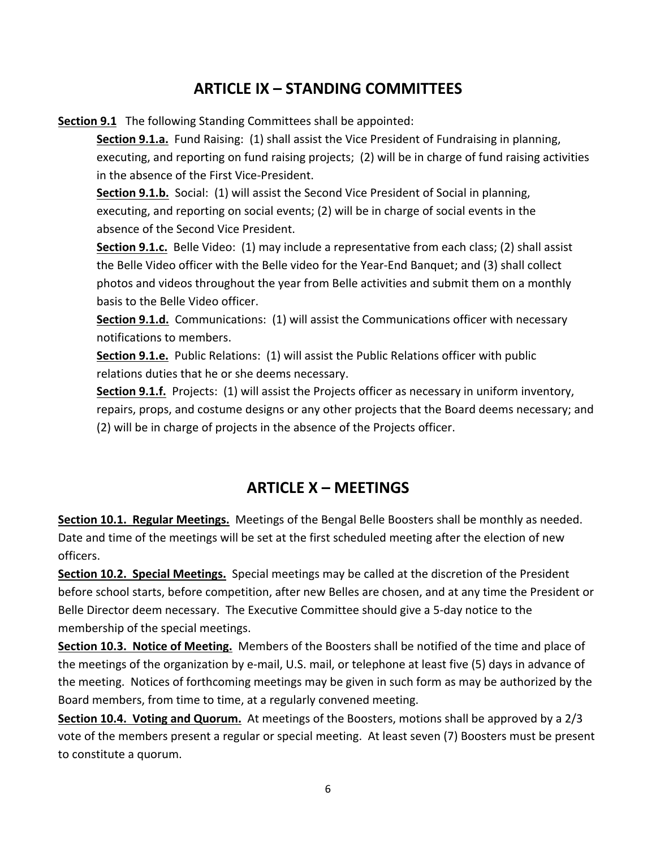#### **ARTICLE IX – STANDING COMMITTEES**

**Section 9.1** The following Standing Committees shall be appointed:

**Section 9.1.a.** Fund Raising: (1) shall assist the Vice President of Fundraising in planning, executing, and reporting on fund raising projects; (2) will be in charge of fund raising activities in the absence of the First Vice-President.

**Section 9.1.b.** Social: (1) will assist the Second Vice President of Social in planning, executing, and reporting on social events; (2) will be in charge of social events in the absence of the Second Vice President.

**Section 9.1.c.** Belle Video: (1) may include a representative from each class; (2) shall assist the Belle Video officer with the Belle video for the Year-End Banquet; and (3) shall collect photos and videos throughout the year from Belle activities and submit them on a monthly basis to the Belle Video officer.

**Section 9.1.d.** Communications: (1) will assist the Communications officer with necessary notifications to members.

**Section 9.1.e.** Public Relations: (1) will assist the Public Relations officer with public relations duties that he or she deems necessary.

**Section 9.1.f.** Projects: (1) will assist the Projects officer as necessary in uniform inventory, repairs, props, and costume designs or any other projects that the Board deems necessary; and (2) will be in charge of projects in the absence of the Projects officer.

### **ARTICLE X – MEETINGS**

**Section 10.1. Regular Meetings.** Meetings of the Bengal Belle Boosters shall be monthly as needed. Date and time of the meetings will be set at the first scheduled meeting after the election of new officers.

**Section 10.2. Special Meetings.** Special meetings may be called at the discretion of the President before school starts, before competition, after new Belles are chosen, and at any time the President or Belle Director deem necessary. The Executive Committee should give a 5-day notice to the membership of the special meetings.

**Section 10.3. Notice of Meeting.** Members of the Boosters shall be notified of the time and place of the meetings of the organization by e-mail, U.S. mail, or telephone at least five (5) days in advance of the meeting. Notices of forthcoming meetings may be given in such form as may be authorized by the Board members, from time to time, at a regularly convened meeting.

**Section 10.4. Voting and Quorum.** At meetings of the Boosters, motions shall be approved by a 2/3 vote of the members present a regular or special meeting. At least seven (7) Boosters must be present to constitute a quorum.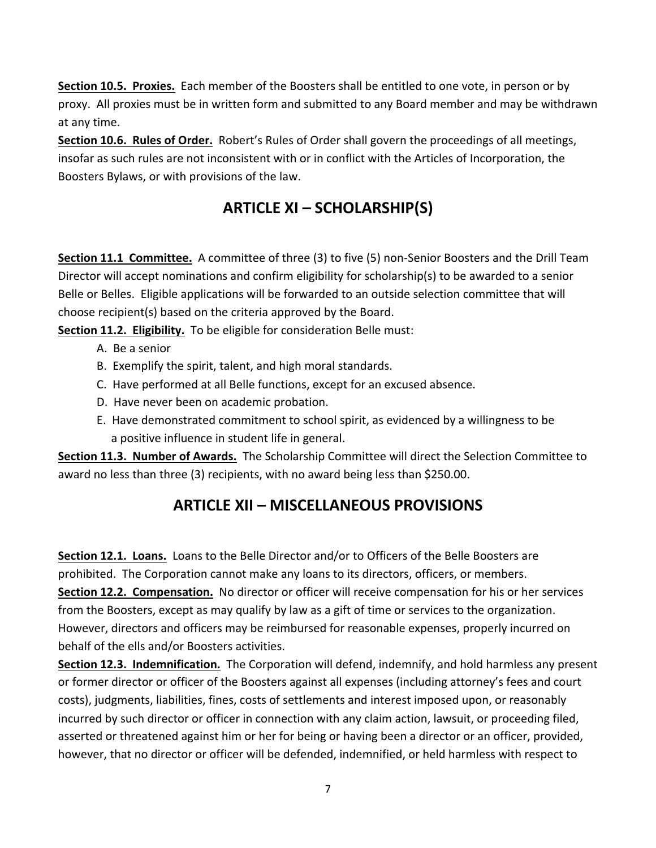**Section 10.5. Proxies.** Each member of the Boosters shall be entitled to one vote, in person or by proxy. All proxies must be in written form and submitted to any Board member and may be withdrawn at any time.

**Section 10.6. Rules of Order.** Robert's Rules of Order shall govern the proceedings of all meetings, insofar as such rules are not inconsistent with or in conflict with the Articles of Incorporation, the Boosters Bylaws, or with provisions of the law.

# **ARTICLE XI – SCHOLARSHIP(S)**

**Section 11.1 Committee.** A committee of three (3) to five (5) non-Senior Boosters and the Drill Team Director will accept nominations and confirm eligibility for scholarship(s) to be awarded to a senior Belle or Belles. Eligible applications will be forwarded to an outside selection committee that will choose recipient(s) based on the criteria approved by the Board.

**Section 11.2. Eligibility.** To be eligible for consideration Belle must:

- A. Be a senior
- B. Exemplify the spirit, talent, and high moral standards.
- C. Have performed at all Belle functions, except for an excused absence.
- D. Have never been on academic probation.
- E. Have demonstrated commitment to school spirit, as evidenced by a willingness to be a positive influence in student life in general.

**Section 11.3. Number of Awards.** The Scholarship Committee will direct the Selection Committee to award no less than three (3) recipients, with no award being less than \$250.00.

# **ARTICLE XII – MISCELLANEOUS PROVISIONS**

**Section 12.1. Loans.** Loans to the Belle Director and/or to Officers of the Belle Boosters are prohibited. The Corporation cannot make any loans to its directors, officers, or members. **Section 12.2. Compensation.** No director or officer will receive compensation for his or her services from the Boosters, except as may qualify by law as a gift of time or services to the organization. However, directors and officers may be reimbursed for reasonable expenses, properly incurred on behalf of the ells and/or Boosters activities.

**Section 12.3. Indemnification.** The Corporation will defend, indemnify, and hold harmless any present or former director or officer of the Boosters against all expenses (including attorney's fees and court costs), judgments, liabilities, fines, costs of settlements and interest imposed upon, or reasonably incurred by such director or officer in connection with any claim action, lawsuit, or proceeding filed, asserted or threatened against him or her for being or having been a director or an officer, provided, however, that no director or officer will be defended, indemnified, or held harmless with respect to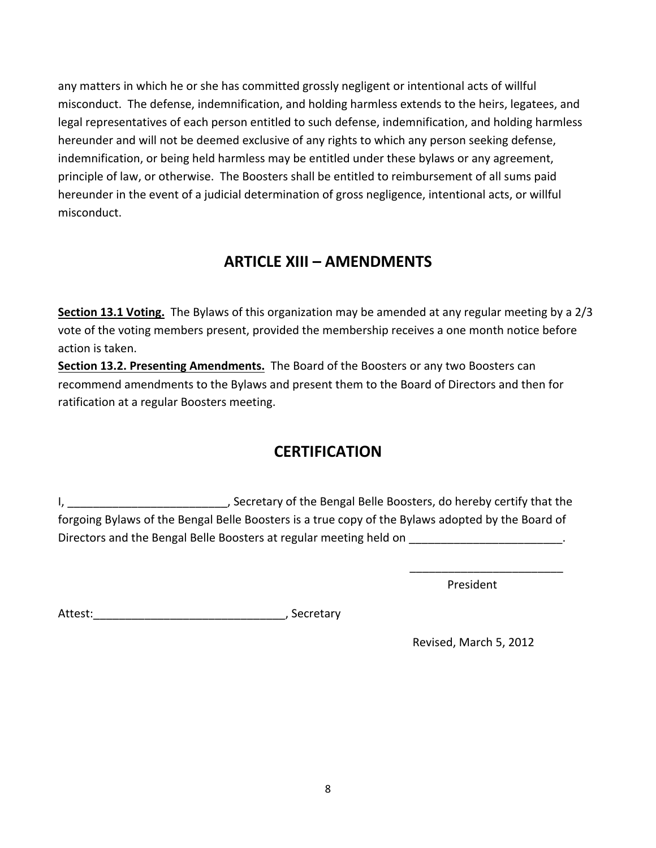any matters in which he or she has committed grossly negligent or intentional acts of willful misconduct. The defense, indemnification, and holding harmless extends to the heirs, legatees, and legal representatives of each person entitled to such defense, indemnification, and holding harmless hereunder and will not be deemed exclusive of any rights to which any person seeking defense, indemnification, or being held harmless may be entitled under these bylaws or any agreement, principle of law, or otherwise. The Boosters shall be entitled to reimbursement of all sums paid hereunder in the event of a judicial determination of gross negligence, intentional acts, or willful misconduct.

# **ARTICLE XIII – AMENDMENTS**

**Section 13.1 Voting.** The Bylaws of this organization may be amended at any regular meeting by a 2/3 vote of the voting members present, provided the membership receives a one month notice before action is taken.

**Section 13.2. Presenting Amendments.** The Board of the Boosters or any two Boosters can recommend amendments to the Bylaws and present them to the Board of Directors and then for ratification at a regular Boosters meeting.

# **CERTIFICATION**

I, \_\_\_\_\_\_\_\_\_\_\_\_\_\_\_\_\_\_\_\_\_\_\_\_\_\_, Secretary of the Bengal Belle Boosters, do hereby certify that the forgoing Bylaws of the Bengal Belle Boosters is a true copy of the Bylaws adopted by the Board of Directors and the Bengal Belle Boosters at regular meeting held on

 $\overline{\phantom{a}}$  , and the contract of the contract of the contract of the contract of the contract of the contract of the contract of the contract of the contract of the contract of the contract of the contract of the contrac

**President** Contract Contract Contract Contract Contract Contract Contract Contract Contract Contract Contract Contract Contract Contract Contract Contract Contract Contract Contract Contract Contract Contract Contract Con

Attest:\_\_\_\_\_\_\_\_\_\_\_\_\_\_\_\_\_\_\_\_\_\_\_\_\_\_\_\_\_\_, Secretary

Revised, March 5, 2012